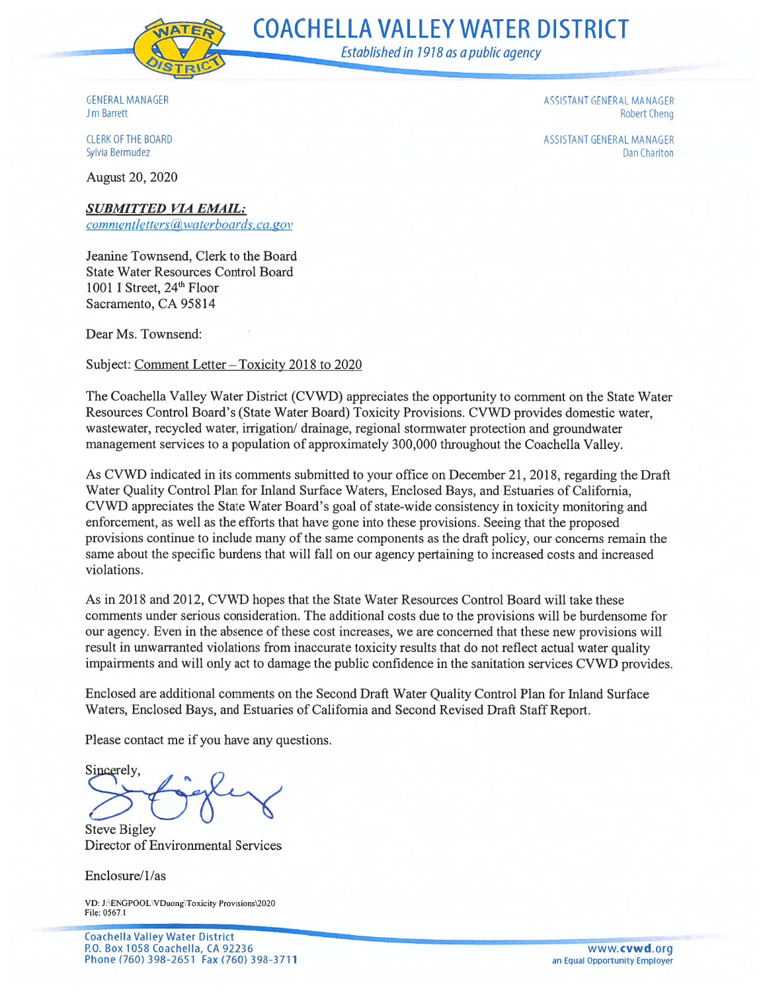

**COACHELLA VALLEY WATER DISTRICT** 

Established in 1918 as a public agency

**GENERAL MANAGER** Jim Barrett

**CLERK OF THE BOARD** Sylvia Bermudez

August 20, 2020

ASSISTANT GENERAL MANAGER **Robert Cheng** 

ASSISTANT GENERAL MANAGER Dan Charlton

**SUBMITTED VIA EMAIL:** 

commentletters@waterboards.ca.gov

Jeanine Townsend, Clerk to the Board State Water Resources Control Board 1001 I Street, 24<sup>th</sup> Floor Sacramento, CA 95814

Dear Ms. Townsend:

Subject: Comment Letter - Toxicity 2018 to 2020

The Coachella Valley Water District (CVWD) appreciates the opportunity to comment on the State Water Resources Control Board's (State Water Board) Toxicity Provisions. CVWD provides domestic water, wastewater, recycled water, irrigation/drainage, regional stormwater protection and groundwater management services to a population of approximately 300,000 throughout the Coachella Valley.

As CVWD indicated in its comments submitted to your office on December 21, 2018, regarding the Draft Water Quality Control Plan for Inland Surface Waters, Enclosed Bays, and Estuaries of California, CVWD appreciates the State Water Board's goal of state-wide consistency in toxicity monitoring and enforcement, as well as the efforts that have gone into these provisions. Seeing that the proposed provisions continue to include many of the same components as the draft policy, our concerns remain the same about the specific burdens that will fall on our agency pertaining to increased costs and increased violations.

As in 2018 and 2012, CVWD hopes that the State Water Resources Control Board will take these comments under serious consideration. The additional costs due to the provisions will be burdensome for our agency. Even in the absence of these cost increases, we are concerned that these new provisions will result in unwarranted violations from inaccurate toxicity results that do not reflect actual water quality impairments and will only act to damage the public confidence in the sanitation services CVWD provides.

Enclosed are additional comments on the Second Draft Water Quality Control Plan for Inland Surface Waters, Enclosed Bays, and Estuaries of California and Second Revised Draft Staff Report.

Please contact me if you have any questions.

Sincerely,

**Steve Bigley** Director of Environmental Services

Enclosure/1/as

VD: J:\ENGPOOL\VDuong\Toxicity Provisions\2020 File: 0567.1

**Coachella Valley Water District** P.O. Box 1058 Coachella, CA 92236 Phone (760) 398-2651 Fax (760) 398-3711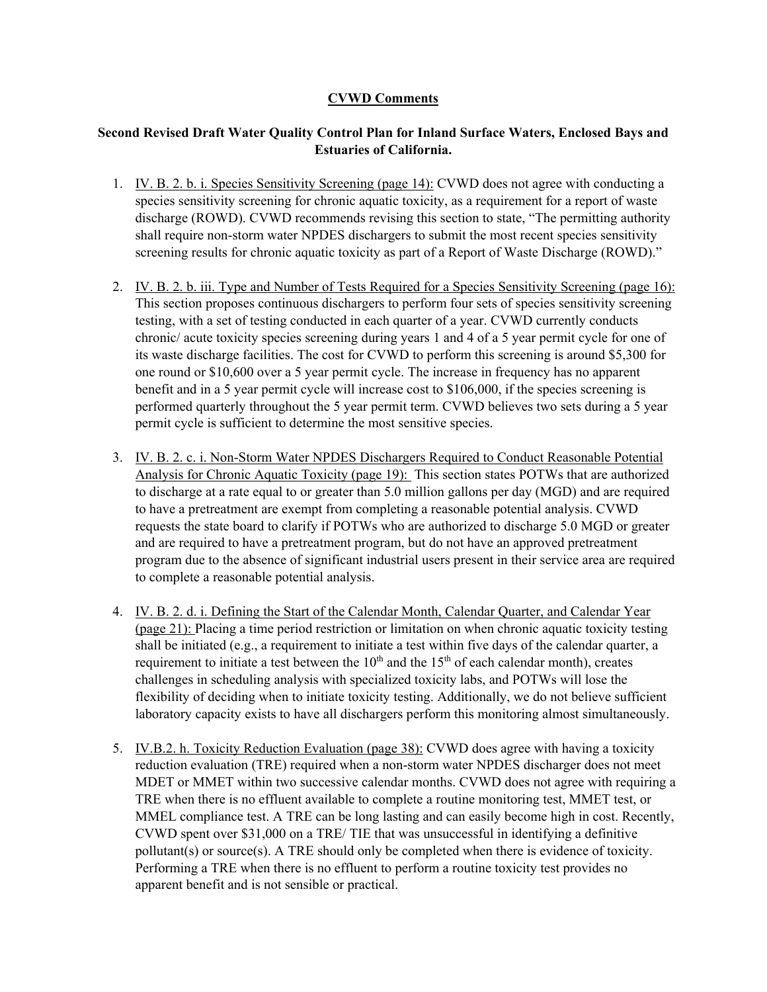## **CVWD Comments**

## **Second Revised Draft Water Quality Control Plan for Inland Surface Waters, Enclosed Bays and Estuaries of California.**

- 1. IV. B. 2. b. i. Species Sensitivity Screening (page 14): CVWD does not agree with conducting a species sensitivity screening for chronic aquatic toxicity, as a requirement for a report of waste discharge (ROWD). CVWD recommends revising this section to state, "The permitting authority shall require non-storm water NPDES dischargers to submit the most recent species sensitivity screening results for chronic aquatic toxicity as part of a Report of Waste Discharge (ROWD)."
- 2. IV. B. 2. b. iii. Type and Number of Tests Required for a Species Sensitivity Screening (page 16): This section proposes continuous dischargers to perform four sets of species sensitivity screening testing, with a set of testing conducted in each quarter of a year. CVWD currently conducts chronic/ acute toxicity species screening during years 1 and 4 of a 5 year permit cycle for one of its waste discharge facilities. The cost for CVWD to perform this screening is around \$5,300 for one round or \$10,600 over a 5 year permit cycle. The increase in frequency has no apparent benefit and in a 5 year permit cycle will increase cost to \$106,000, if the species screening is performed quarterly throughout the 5 year permit term. CVWD believes two sets during a 5 year permit cycle is sufficient to determine the most sensitive species.
- 3. IV. B. 2. c. i. Non-Storm Water NPDES Dischargers Required to Conduct Reasonable Potential Analysis for Chronic Aquatic Toxicity (page 19): This section states POTWs that are authorized to discharge at a rate equal to or greater than 5.0 million gallons per day (MGD) and are required to have a pretreatment are exempt from completing a reasonable potential analysis. CVWD requests the state board to clarify if POTWs who are authorized to discharge 5.0 MGD or greater and are required to have a pretreatment program, but do not have an approved pretreatment program due to the absence of significant industrial users present in their service area are required to complete a reasonable potential analysis.
- 4. IV. B. 2. d. i. Defining the Start of the Calendar Month, Calendar Quarter, and Calendar Year (page 21): Placing a time period restriction or limitation on when chronic aquatic toxicity testing shall be initiated (e.g., a requirement to initiate a test within five days of the calendar quarter, a requirement to initiate a test between the  $10<sup>th</sup>$  and the  $15<sup>th</sup>$  of each calendar month), creates challenges in scheduling analysis with specialized toxicity labs, and POTWs will lose the flexibility of deciding when to initiate toxicity testing. Additionally, we do not believe sufficient laboratory capacity exists to have all dischargers perform this monitoring almost simultaneously.
- 5. IV.B.2. h. Toxicity Reduction Evaluation (page 38): CVWD does agree with having a toxicity reduction evaluation (TRE) required when a non-storm water NPDES discharger does not meet MDET or MMET within two successive calendar months. CVWD does not agree with requiring a TRE when there is no effluent available to complete a routine monitoring test, MMET test, or MMEL compliance test. A TRE can be long lasting and can easily become high in cost. Recently, CVWD spent over \$31,000 on a TRE/ TIE that was unsuccessful in identifying a definitive pollutant(s) or source(s). A TRE should only be completed when there is evidence of toxicity. Performing a TRE when there is no effluent to perform a routine toxicity test provides no apparent benefit and is not sensible or practical.